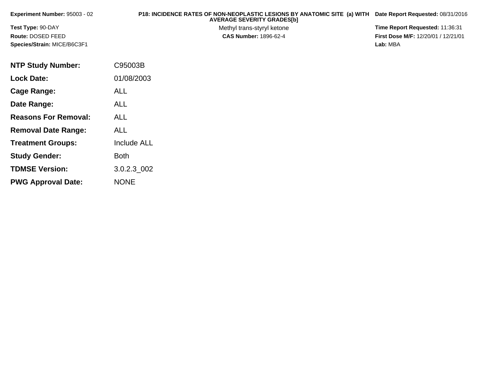| <b>Experiment Number: 95003 - 02</b> | P18: INCIDENCE RATES OF NON-NEOPLASTIC LESIONS BY ANATOMIC SITE (a) WITH Date Report Requested: 08/31/2016<br><b>AVERAGE SEVERITY GRADES[b]</b> |                                            |
|--------------------------------------|-------------------------------------------------------------------------------------------------------------------------------------------------|--------------------------------------------|
| <b>Test Type: 90-DAY</b>             | Methyl trans-styryl ketone                                                                                                                      | <b>Time Report Requested: 11:36:31</b>     |
| Route: DOSED FEED                    | <b>CAS Number: 1896-62-4</b>                                                                                                                    | <b>First Dose M/F: 12/20/01 / 12/21/01</b> |
| Species/Strain: MICE/B6C3F1          |                                                                                                                                                 | Lab: MBA                                   |

| <b>NTP Study Number:</b>    | C95003B            |
|-----------------------------|--------------------|
| <b>Lock Date:</b>           | 01/08/2003         |
| Cage Range:                 | ALL                |
| Date Range:                 | ALL                |
| <b>Reasons For Removal:</b> | ALL.               |
| <b>Removal Date Range:</b>  | ALL                |
| <b>Treatment Groups:</b>    | <b>Include ALL</b> |
| <b>Study Gender:</b>        | <b>Both</b>        |
| <b>TDMSE Version:</b>       | 3.0.2.3 002        |
| <b>PWG Approval Date:</b>   | <b>NONE</b>        |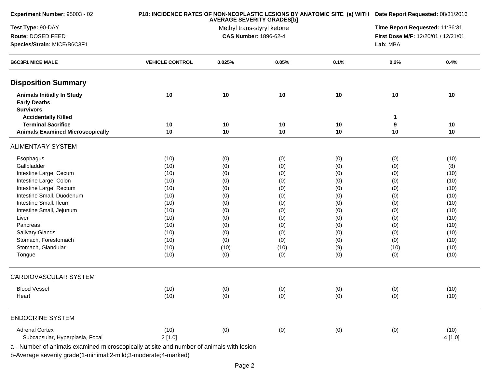|                                                                              |                        | P18: INCIDENCE RATES OF NON-NEOPLASTIC LESIONS BY ANATOMIC SITE (a) WITH Date Report Requested: 08/31/2016 |             |            |                                     |                                 |  |  |
|------------------------------------------------------------------------------|------------------------|------------------------------------------------------------------------------------------------------------|-------------|------------|-------------------------------------|---------------------------------|--|--|
| Test Type: 90-DAY                                                            |                        | <b>AVERAGE SEVERITY GRADES[b]</b><br>Methyl trans-styryl ketone                                            |             |            |                                     | Time Report Requested: 11:36:31 |  |  |
| Route: DOSED FEED                                                            |                        | <b>CAS Number: 1896-62-4</b>                                                                               |             |            | First Dose M/F: 12/20/01 / 12/21/01 |                                 |  |  |
| Species/Strain: MICE/B6C3F1                                                  |                        |                                                                                                            |             |            | Lab: MBA                            |                                 |  |  |
| <b>B6C3F1 MICE MALE</b>                                                      | <b>VEHICLE CONTROL</b> | 0.025%                                                                                                     | 0.05%       | 0.1%       | 0.2%                                | 0.4%                            |  |  |
| <b>Disposition Summary</b>                                                   |                        |                                                                                                            |             |            |                                     |                                 |  |  |
| <b>Animals Initially In Study</b><br><b>Early Deaths</b><br><b>Survivors</b> | 10                     | 10                                                                                                         | 10          | 10         | 10                                  | 10                              |  |  |
| <b>Accidentally Killed</b>                                                   |                        |                                                                                                            |             |            | 1                                   |                                 |  |  |
| <b>Terminal Sacrifice</b>                                                    | 10                     | 10                                                                                                         | 10          | 10         | 9                                   | 10                              |  |  |
| <b>Animals Examined Microscopically</b>                                      | 10                     | 10                                                                                                         | 10          | 10         | 10                                  | 10                              |  |  |
| <b>ALIMENTARY SYSTEM</b>                                                     |                        |                                                                                                            |             |            |                                     |                                 |  |  |
| Esophagus                                                                    | (10)                   | (0)                                                                                                        | (0)         | (0)        | (0)                                 | (10)                            |  |  |
| Gallbladder                                                                  | (10)                   | (0)                                                                                                        | (0)         | (0)        | (0)                                 | (8)                             |  |  |
| Intestine Large, Cecum                                                       | (10)                   | (0)                                                                                                        | (0)         | (0)        | (0)                                 | (10)                            |  |  |
| Intestine Large, Colon                                                       | (10)                   | (0)                                                                                                        | (0)         | (0)        | (0)                                 | (10)                            |  |  |
| Intestine Large, Rectum                                                      | (10)                   | (0)                                                                                                        | (0)         | (0)        | (0)                                 | (10)                            |  |  |
| Intestine Small, Duodenum                                                    | (10)                   | (0)                                                                                                        | (0)         | (0)        | (0)                                 | (10)                            |  |  |
| Intestine Small, Ileum                                                       | (10)                   | (0)                                                                                                        | (0)         | (0)        | (0)                                 | (10)                            |  |  |
| Intestine Small, Jejunum                                                     | (10)                   | (0)                                                                                                        | (0)         | (0)        | (0)                                 | (10)                            |  |  |
| Liver                                                                        | (10)                   | (0)                                                                                                        | (0)         | (0)        | (0)                                 | (10)                            |  |  |
| Pancreas                                                                     | (10)                   | (0)                                                                                                        | (0)         | (0)        | (0)                                 | (10)                            |  |  |
| Salivary Glands<br>Stomach, Forestomach                                      | (10)<br>(10)           | (0)                                                                                                        | (0)         | (0)        | (0)                                 | (10)                            |  |  |
| Stomach, Glandular                                                           | (10)                   | (0)<br>(10)                                                                                                | (0)<br>(10) | (0)<br>(9) | (0)<br>(10)                         | (10)<br>(10)                    |  |  |
| Tongue                                                                       | (10)                   | (0)                                                                                                        | (0)         | (0)        | (0)                                 | (10)                            |  |  |
| CARDIOVASCULAR SYSTEM                                                        |                        |                                                                                                            |             |            |                                     |                                 |  |  |
| <b>Blood Vessel</b>                                                          | (10)                   | (0)                                                                                                        | (0)         | (0)        | (0)                                 | (10)                            |  |  |
| Heart                                                                        | (10)                   | (0)                                                                                                        | (0)         | (0)        | (0)                                 | (10)                            |  |  |
| <b>ENDOCRINE SYSTEM</b>                                                      |                        |                                                                                                            |             |            |                                     |                                 |  |  |
| <b>Adrenal Cortex</b><br>Subcapsular, Hyperplasia, Focal                     | (10)<br>2[1.0]         | (0)                                                                                                        | (0)         | (0)        | (0)                                 | (10)<br>4[1.0]                  |  |  |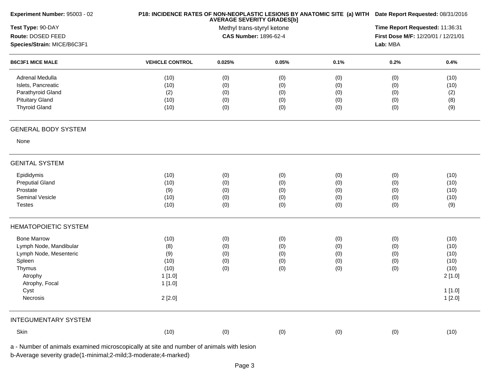| Experiment Number: 95003 - 02 |                        | P18: INCIDENCE RATES OF NON-NEOPLASTIC LESIONS BY ANATOMIC SITE (a) WITH Date Report Requested: 08/31/2016 |       |      |                                     |        |
|-------------------------------|------------------------|------------------------------------------------------------------------------------------------------------|-------|------|-------------------------------------|--------|
| Test Type: 90-DAY             |                        | <b>AVERAGE SEVERITY GRADES[b]</b><br>Methyl trans-styryl ketone                                            |       |      | Time Report Requested: 11:36:31     |        |
| Route: DOSED FEED             |                        | CAS Number: 1896-62-4                                                                                      |       |      | First Dose M/F: 12/20/01 / 12/21/01 |        |
| Species/Strain: MICE/B6C3F1   |                        |                                                                                                            |       |      | Lab: MBA                            |        |
| <b>B6C3F1 MICE MALE</b>       | <b>VEHICLE CONTROL</b> | 0.025%                                                                                                     | 0.05% | 0.1% | 0.2%                                | 0.4%   |
| Adrenal Medulla               | (10)                   | (0)                                                                                                        | (0)   | (0)  | (0)                                 | (10)   |
| Islets, Pancreatic            | (10)                   | (0)                                                                                                        | (0)   | (0)  | (0)                                 | (10)   |
| Parathyroid Gland             | (2)                    | (0)                                                                                                        | (0)   | (0)  | (0)                                 | (2)    |
| <b>Pituitary Gland</b>        | (10)                   | (0)                                                                                                        | (0)   | (0)  | (0)                                 | (8)    |
| <b>Thyroid Gland</b>          | (10)                   | (0)                                                                                                        | (0)   | (0)  | (0)                                 | (9)    |
| <b>GENERAL BODY SYSTEM</b>    |                        |                                                                                                            |       |      |                                     |        |
| None                          |                        |                                                                                                            |       |      |                                     |        |
| <b>GENITAL SYSTEM</b>         |                        |                                                                                                            |       |      |                                     |        |
| Epididymis                    | (10)                   | (0)                                                                                                        | (0)   | (0)  | (0)                                 | (10)   |
| <b>Preputial Gland</b>        | (10)                   | (0)                                                                                                        | (0)   | (0)  | (0)                                 | (10)   |
| Prostate                      | (9)                    | (0)                                                                                                        | (0)   | (0)  | (0)                                 | (10)   |
| Seminal Vesicle               | (10)                   | (0)                                                                                                        | (0)   | (0)  | (0)                                 | (10)   |
| <b>Testes</b>                 | (10)                   | (0)                                                                                                        | (0)   | (0)  | (0)                                 | (9)    |
| <b>HEMATOPOIETIC SYSTEM</b>   |                        |                                                                                                            |       |      |                                     |        |
| <b>Bone Marrow</b>            | (10)                   | (0)                                                                                                        | (0)   | (0)  | (0)                                 | (10)   |
| Lymph Node, Mandibular        | (8)                    | (0)                                                                                                        | (0)   | (0)  | (0)                                 | (10)   |
| Lymph Node, Mesenteric        | (9)                    | (0)                                                                                                        | (0)   | (0)  | (0)                                 | (10)   |
| Spleen                        | (10)                   | (0)                                                                                                        | (0)   | (0)  | (0)                                 | (10)   |
| Thymus                        | (10)                   | (0)                                                                                                        | (0)   | (0)  | (0)                                 | (10)   |
| Atrophy                       | 1 [1.0]                |                                                                                                            |       |      |                                     | 2[1.0] |
| Atrophy, Focal                | 1[1.0]                 |                                                                                                            |       |      |                                     |        |
| Cyst                          |                        |                                                                                                            |       |      |                                     | 1[1.0] |
| Necrosis                      | 2[2.0]                 |                                                                                                            |       |      |                                     | 1[2.0] |
| <b>INTEGUMENTARY SYSTEM</b>   |                        |                                                                                                            |       |      |                                     |        |
| Skin                          | (10)                   | (0)                                                                                                        | (0)   | (0)  | (0)                                 | (10)   |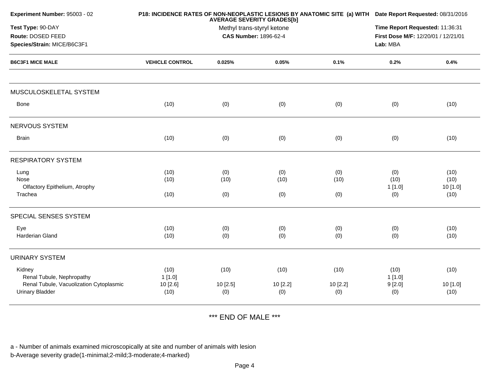| Experiment Number: 95003 - 02                                        |                        | P18: INCIDENCE RATES OF NON-NEOPLASTIC LESIONS BY ANATOMIC SITE (a) WITH Date Report Requested: 08/31/2016<br>Time Report Requested: 11:36:31 |                              |         |                                     |                  |
|----------------------------------------------------------------------|------------------------|-----------------------------------------------------------------------------------------------------------------------------------------------|------------------------------|---------|-------------------------------------|------------------|
| Test Type: 90-DAY                                                    |                        |                                                                                                                                               |                              |         |                                     |                  |
| Route: DOSED FEED                                                    |                        |                                                                                                                                               | <b>CAS Number: 1896-62-4</b> |         | First Dose M/F: 12/20/01 / 12/21/01 |                  |
| Species/Strain: MICE/B6C3F1                                          |                        |                                                                                                                                               |                              |         | Lab: MBA                            |                  |
| <b>B6C3F1 MICE MALE</b>                                              | <b>VEHICLE CONTROL</b> | 0.025%                                                                                                                                        | 0.05%                        | 0.1%    | 0.2%                                | 0.4%             |
| MUSCULOSKELETAL SYSTEM                                               |                        |                                                                                                                                               |                              |         |                                     |                  |
| Bone                                                                 | (10)                   | (0)                                                                                                                                           | (0)                          | (0)     | (0)                                 | (10)             |
| NERVOUS SYSTEM                                                       |                        |                                                                                                                                               |                              |         |                                     |                  |
| <b>Brain</b>                                                         | (10)                   | (0)                                                                                                                                           | (0)                          | (0)     | (0)                                 | (10)             |
| <b>RESPIRATORY SYSTEM</b>                                            |                        |                                                                                                                                               |                              |         |                                     |                  |
| Lung                                                                 | (10)                   | (0)                                                                                                                                           | (0)                          | (0)     | (0)                                 | (10)             |
| Nose<br>Olfactory Epithelium, Atrophy                                | (10)                   | (10)                                                                                                                                          | (10)                         | (10)    | (10)<br>1[1.0]                      | (10)<br>10 [1.0] |
| Trachea                                                              | (10)                   | (0)                                                                                                                                           | (0)                          | (0)     | (0)                                 | (10)             |
| SPECIAL SENSES SYSTEM                                                |                        |                                                                                                                                               |                              |         |                                     |                  |
| Eye                                                                  | (10)                   | (0)                                                                                                                                           | (0)                          | (0)     | (0)                                 | (10)             |
| Harderian Gland                                                      | (10)                   | (0)                                                                                                                                           | (0)                          | (0)     | (0)                                 | (10)             |
| <b>URINARY SYSTEM</b>                                                |                        |                                                                                                                                               |                              |         |                                     |                  |
| Kidney                                                               | (10)                   | (10)                                                                                                                                          | (10)                         | (10)    | (10)                                | (10)             |
| Renal Tubule, Nephropathy<br>Renal Tubule, Vacuolization Cytoplasmic | 1[1.0]<br>10 [2.6]     | 10 [2.5]                                                                                                                                      | 10 [2.2]                     | 10[2.2] | 1[1.0]<br>9[2.0]                    | 10 [1.0]         |
| <b>Urinary Bladder</b>                                               | (10)                   | (0)                                                                                                                                           | (0)                          | (0)     | (0)                                 | (10)             |
|                                                                      |                        |                                                                                                                                               |                              |         |                                     |                  |

\*\*\* END OF MALE \*\*\*

a - Number of animals examined microscopically at site and number of animals with lesion

b-Average severity grade(1-minimal;2-mild;3-moderate;4-marked)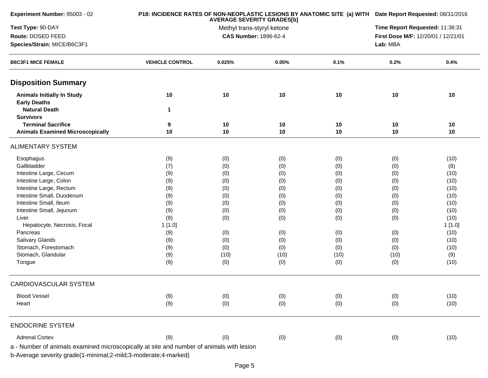| Experiment Number: 95003 - 02                                                                                                                              |                        | P18: INCIDENCE RATES OF NON-NEOPLASTIC LESIONS BY ANATOMIC SITE (a) WITH Date Report Requested: 08/31/2016<br>Time Report Requested: 11:36:31 |                            |      |                                     |        |  |
|------------------------------------------------------------------------------------------------------------------------------------------------------------|------------------------|-----------------------------------------------------------------------------------------------------------------------------------------------|----------------------------|------|-------------------------------------|--------|--|
| Test Type: 90-DAY                                                                                                                                          |                        |                                                                                                                                               |                            |      |                                     |        |  |
| Route: DOSED FEED                                                                                                                                          |                        | <b>CAS Number: 1896-62-4</b>                                                                                                                  | Methyl trans-styryl ketone |      | First Dose M/F: 12/20/01 / 12/21/01 |        |  |
| Species/Strain: MICE/B6C3F1                                                                                                                                |                        |                                                                                                                                               |                            |      | Lab: MBA                            |        |  |
| <b>B6C3F1 MICE FEMALE</b>                                                                                                                                  | <b>VEHICLE CONTROL</b> | 0.025%                                                                                                                                        | 0.05%                      | 0.1% | 0.2%                                | 0.4%   |  |
| <b>Disposition Summary</b>                                                                                                                                 |                        |                                                                                                                                               |                            |      |                                     |        |  |
| <b>Animals Initially In Study</b><br><b>Early Deaths</b>                                                                                                   | 10                     | 10                                                                                                                                            | 10                         | 10   | 10                                  | 10     |  |
| <b>Natural Death</b><br><b>Survivors</b>                                                                                                                   | 1                      |                                                                                                                                               |                            |      |                                     |        |  |
| <b>Terminal Sacrifice</b>                                                                                                                                  | 9                      | 10                                                                                                                                            | 10                         | 10   | 10                                  | 10     |  |
| <b>Animals Examined Microscopically</b>                                                                                                                    | 10                     | 10                                                                                                                                            | 10                         | 10   | 10                                  | 10     |  |
| <b>ALIMENTARY SYSTEM</b>                                                                                                                                   |                        |                                                                                                                                               |                            |      |                                     |        |  |
| Esophagus                                                                                                                                                  | (9)                    | (0)                                                                                                                                           | (0)                        | (0)  | (0)                                 | (10)   |  |
| Gallbladder                                                                                                                                                | (7)                    | (0)                                                                                                                                           | (0)                        | (0)  | (0)                                 | (8)    |  |
| Intestine Large, Cecum                                                                                                                                     | (9)                    | (0)                                                                                                                                           | (0)                        | (0)  | (0)                                 | (10)   |  |
| Intestine Large, Colon                                                                                                                                     | (9)                    | (0)                                                                                                                                           | (0)                        | (0)  | (0)                                 | (10)   |  |
| Intestine Large, Rectum                                                                                                                                    | (9)                    | (0)                                                                                                                                           | (0)                        | (0)  | (0)                                 | (10)   |  |
| Intestine Small, Duodenum                                                                                                                                  | (9)                    | (0)                                                                                                                                           | (0)                        | (0)  | (0)                                 | (10)   |  |
| Intestine Small, Ileum                                                                                                                                     | (9)                    | (0)                                                                                                                                           | (0)                        | (0)  | (0)                                 | (10)   |  |
| Intestine Small, Jejunum                                                                                                                                   | (9)                    | (0)                                                                                                                                           | (0)                        | (0)  | (0)                                 | (10)   |  |
| Liver                                                                                                                                                      | (9)                    | (0)                                                                                                                                           | (0)                        | (0)  | (0)                                 | (10)   |  |
| Hepatocyte, Necrosis, Focal                                                                                                                                | 1[1.0]                 |                                                                                                                                               |                            |      |                                     | 1[1.0] |  |
| Pancreas                                                                                                                                                   | (9)                    | (0)                                                                                                                                           | (0)                        | (0)  | (0)                                 | (10)   |  |
| Salivary Glands                                                                                                                                            | (9)                    | (0)                                                                                                                                           | (0)                        | (0)  | (0)                                 | (10)   |  |
| Stomach, Forestomach                                                                                                                                       | (9)                    | (0)                                                                                                                                           | (0)                        | (0)  | (0)                                 | (10)   |  |
| Stomach, Glandular                                                                                                                                         | (9)                    | (10)                                                                                                                                          | (10)                       | (10) | (10)                                | (9)    |  |
| Tongue                                                                                                                                                     | (9)                    | (0)                                                                                                                                           | (0)                        | (0)  | (0)                                 | (10)   |  |
| CARDIOVASCULAR SYSTEM                                                                                                                                      |                        |                                                                                                                                               |                            |      |                                     |        |  |
| <b>Blood Vessel</b>                                                                                                                                        | (9)                    | (0)                                                                                                                                           | (0)                        | (0)  | (0)                                 | (10)   |  |
| Heart                                                                                                                                                      | (9)                    | (0)                                                                                                                                           | (0)                        | (0)  | (0)                                 | (10)   |  |
| <b>ENDOCRINE SYSTEM</b>                                                                                                                                    |                        |                                                                                                                                               |                            |      |                                     |        |  |
| <b>Adrenal Cortex</b>                                                                                                                                      | (9)                    | (0)                                                                                                                                           | (0)                        | (0)  | (0)                                 | (10)   |  |
|                                                                                                                                                            |                        |                                                                                                                                               |                            |      |                                     |        |  |
| a - Number of animals examined microscopically at site and number of animals with lesion<br>b-Average severity grade(1-minimal;2-mild;3-moderate;4-marked) |                        |                                                                                                                                               |                            |      |                                     |        |  |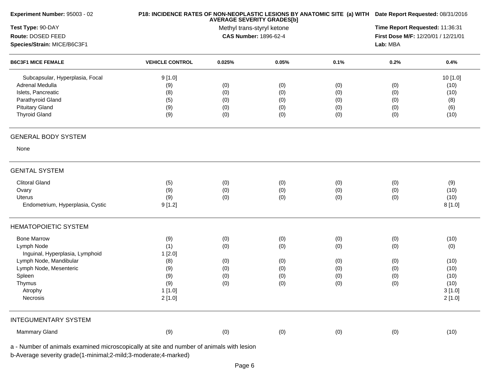| Experiment Number: 95003 - 02                                         |                        | P18: INCIDENCE RATES OF NON-NEOPLASTIC LESIONS BY ANATOMIC SITE (a) WITH Date Report Requested: 08/31/2016 |       |      |          |          |
|-----------------------------------------------------------------------|------------------------|------------------------------------------------------------------------------------------------------------|-------|------|----------|----------|
| Test Type: 90-DAY<br>Route: DOSED FEED<br>Species/Strain: MICE/B6C3F1 |                        | <b>AVERAGE SEVERITY GRADES[b]</b><br>Methyl trans-styryl ketone<br><b>CAS Number: 1896-62-4</b>            |       |      |          |          |
|                                                                       |                        |                                                                                                            |       |      | Lab: MBA |          |
| <b>B6C3F1 MICE FEMALE</b>                                             | <b>VEHICLE CONTROL</b> | 0.025%                                                                                                     | 0.05% | 0.1% | 0.2%     | 0.4%     |
| Subcapsular, Hyperplasia, Focal                                       | 9[1.0]                 |                                                                                                            |       |      |          | 10 [1.0] |
| Adrenal Medulla                                                       | (9)                    | (0)                                                                                                        | (0)   | (0)  | (0)      | (10)     |
| Islets, Pancreatic                                                    | (8)                    | (0)                                                                                                        | (0)   | (0)  | (0)      | (10)     |
| Parathyroid Gland                                                     | (5)                    | (0)                                                                                                        | (0)   | (0)  | (0)      | (8)      |
| <b>Pituitary Gland</b>                                                | (9)                    | (0)                                                                                                        | (0)   | (0)  | (0)      | (6)      |
| <b>Thyroid Gland</b>                                                  | (9)                    | (0)                                                                                                        | (0)   | (0)  | (0)      | (10)     |
| <b>GENERAL BODY SYSTEM</b>                                            |                        |                                                                                                            |       |      |          |          |
| None                                                                  |                        |                                                                                                            |       |      |          |          |
| <b>GENITAL SYSTEM</b>                                                 |                        |                                                                                                            |       |      |          |          |
| <b>Clitoral Gland</b>                                                 | (5)                    | (0)                                                                                                        | (0)   | (0)  | (0)      | (9)      |
| Ovary                                                                 | (9)                    | (0)                                                                                                        | (0)   | (0)  | (0)      | (10)     |
| <b>Uterus</b>                                                         | (9)                    | (0)                                                                                                        | (0)   | (0)  | (0)      | (10)     |
| Endometrium, Hyperplasia, Cystic                                      | 9[1.2]                 |                                                                                                            |       |      |          | 8[1.0]   |
| <b>HEMATOPOIETIC SYSTEM</b>                                           |                        |                                                                                                            |       |      |          |          |
| <b>Bone Marrow</b>                                                    | (9)                    | (0)                                                                                                        | (0)   | (0)  | (0)      | (10)     |
| Lymph Node                                                            | (1)                    | (0)                                                                                                        | (0)   | (0)  | (0)      | (0)      |
| Inguinal, Hyperplasia, Lymphoid                                       | 1[2.0]                 |                                                                                                            |       |      |          |          |
| Lymph Node, Mandibular                                                |                        |                                                                                                            | (0)   |      | (0)      | (10)     |
| Lymph Node, Mesenteric                                                | (8)                    | (0)                                                                                                        |       | (0)  |          |          |
|                                                                       | (9)                    | (0)                                                                                                        | (0)   | (0)  | (0)      | (10)     |
| Spleen                                                                | (9)                    | (0)                                                                                                        | (0)   | (0)  | (0)      | (10)     |
| Thymus                                                                | (9)                    | (0)                                                                                                        | (0)   | (0)  | (0)      | (10)     |
| Atrophy                                                               | 1[1.0]                 |                                                                                                            |       |      |          | 3[1.0]   |
| Necrosis                                                              | 2[1.0]                 |                                                                                                            |       |      |          | 2[1.0]   |
| <b>INTEGUMENTARY SYSTEM</b>                                           |                        |                                                                                                            |       |      |          |          |
| Mammary Gland                                                         | (9)                    | (0)                                                                                                        | (0)   | (0)  | (0)      | (10)     |